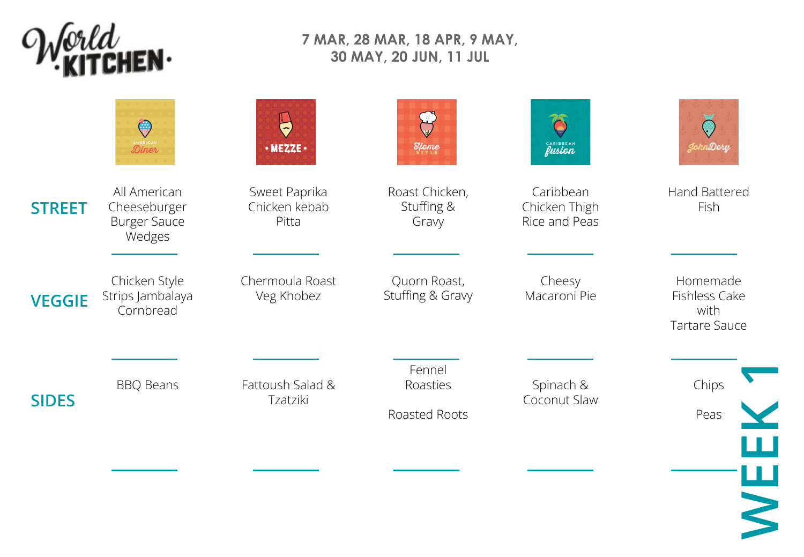

## **7 MAR, 28 MAR, 18 APR, 9 MAY, 30 MAY, 20 JUN, 11 JUL**

|               | $\mathbb{Q}$<br><b>AMERICAN</b>                               | $\overline{\overline{z}}$<br>$\cdot$ MEZZE $\cdot$ | $\mathcal{L}$<br>$\mathcal{H}$ ome    | $\bullet$<br>CARIBBEAN                      | JohnDory                                                  |
|---------------|---------------------------------------------------------------|----------------------------------------------------|---------------------------------------|---------------------------------------------|-----------------------------------------------------------|
| <b>STREET</b> | All American<br>Cheeseburger<br><b>Burger Sauce</b><br>Wedges | Sweet Paprika<br>Chicken kebab<br>Pitta            | Roast Chicken,<br>Stuffing &<br>Gravy | Caribbean<br>Chicken Thigh<br>Rice and Peas | Hand Battered<br>Fish                                     |
| <b>VEGGIE</b> | Chicken Style<br>Strips Jambalaya<br>Cornbread                | Chermoula Roast<br>Veg Khobez                      | Quorn Roast,<br>Stuffing & Gravy      | Cheesy<br>Macaroni Pie                      | Homemade<br>Fishless Cake<br>with<br><b>Tartare Sauce</b> |
| <b>SIDES</b>  | <b>BBQ Beans</b>                                              | Fattoush Salad &<br>Tzatziki                       | Fennel<br>Roasties<br>Roasted Roots   | Spinach &<br>Coconut Slaw                   | Chips<br>Peas<br>Ш                                        |
|               |                                                               |                                                    |                                       |                                             | WE                                                        |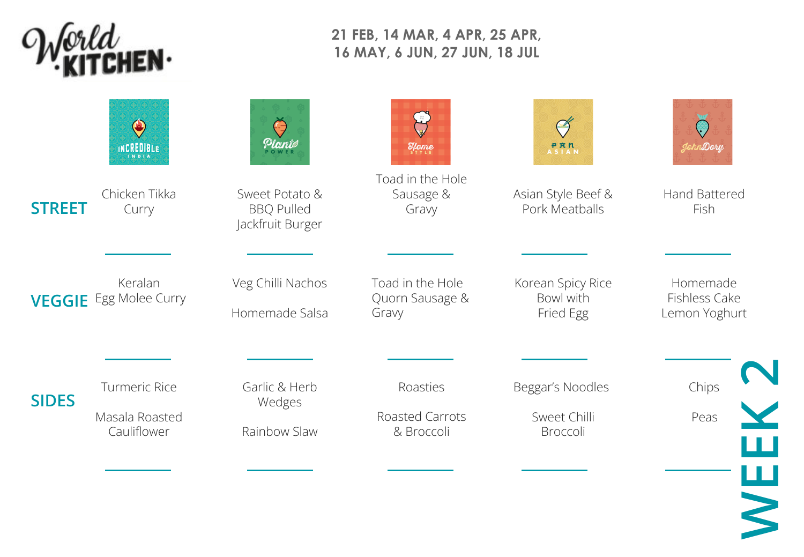

## **21 FEB, 14 MAR, 4 APR, 25 APR, 16 MAY, 6 JUN, 27 JUN, 18 JUL**

|               | $\bigodot$<br>INCREDIBLE                              | Planie                                                  | $\mathcal{E}_{\text{source}}$                | <b>PRR</b><br>ASIAN                          | JohnDory                                   |
|---------------|-------------------------------------------------------|---------------------------------------------------------|----------------------------------------------|----------------------------------------------|--------------------------------------------|
| <b>STREET</b> | Chicken Tikka<br>Curry                                | Sweet Potato &<br><b>BBQ Pulled</b><br>Jackfruit Burger | Toad in the Hole<br>Sausage &<br>Gravy       | Asian Style Beef &<br>Pork Meatballs         | <b>Hand Battered</b><br>Fish               |
|               | Keralan<br><b>VEGGIE</b> Egg Molee Curry              | Veg Chilli Nachos<br>Homemade Salsa                     | Toad in the Hole<br>Quorn Sausage &<br>Gravy | Korean Spicy Rice<br>Bowl with<br>Fried Egg  | Homemade<br>Fishless Cake<br>Lemon Yoghurt |
| <b>SIDES</b>  | <b>Turmeric Rice</b><br>Masala Roasted<br>Cauliflower | Garlic & Herb<br>Wedges<br>Rainbow Slaw                 | Roasties<br>Roasted Carrots<br>& Broccoli    | Beggar's Noodles<br>Sweet Chilli<br>Broccoli | Chips<br>Peas                              |
|               |                                                       |                                                         |                                              |                                              |                                            |